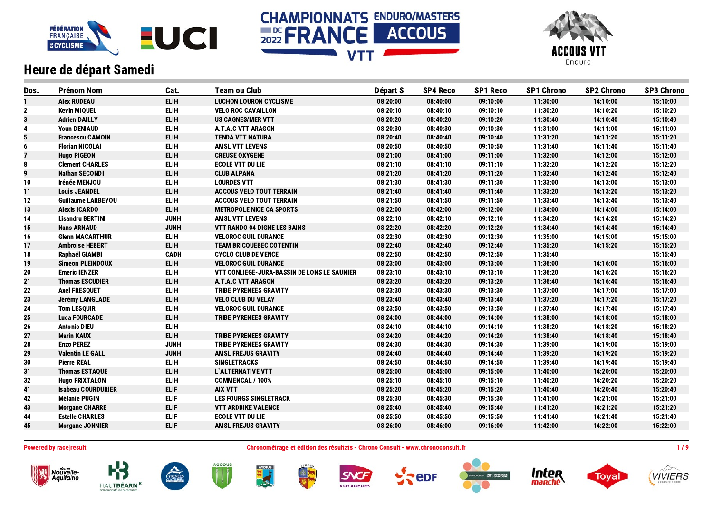





| Dos.         | <b>Prénom Nom</b>         | Cat.        | <b>Team ou Club</b>                         | Départ S | <b>SP4 Reco</b> | <b>SP1 Reco</b> | <b>SP1 Chrono</b> | <b>SP2 Chrono</b> | <b>SP3 Chrono</b> |
|--------------|---------------------------|-------------|---------------------------------------------|----------|-----------------|-----------------|-------------------|-------------------|-------------------|
|              | <b>Alex RUDEAU</b>        | <b>ELIH</b> | <b>LUCHON LOURON CYCLISME</b>               | 08:20:00 | 08:40:00        | 09:10:00        | 11:30:00          | 14:10:00          | 15:10:00          |
| $\mathbf{2}$ | <b>Kevin MIQUEL</b>       | <b>ELIH</b> | <b>VELO ROC CAVAILLON</b>                   | 08:20:10 | 08:40:10        | 09:10:10        | 11:30:20          | 14:10:20          | 15:10:20          |
| 3            | <b>Adrien DAILLY</b>      | <b>ELIH</b> | <b>US CAGNES/MER VTT</b>                    | 08:20:20 | 08:40:20        | 09:10:20        | 11:30:40          | 14:10:40          | 15:10:40          |
| 4            | <b>Youn DENIAUD</b>       | <b>ELIH</b> | A.T.A.C VTT ARAGON                          | 08:20:30 | 08:40:30        | 09:10:30        | 11:31:00          | 14:11:00          | 15:11:00          |
| 5            | <b>Francescu CAMOIN</b>   | <b>ELIH</b> | <b>TENDA VTT NATURA</b>                     | 08:20:40 | 08:40:40        | 09:10:40        | 11:31:20          | 14:11:20          | 15:11:20          |
| 6            | <b>Florian NICOLAI</b>    | <b>ELIH</b> | <b>AMSL VTT LEVENS</b>                      | 08:20:50 | 08:40:50        | 09:10:50        | 11:31:40          | 14:11:40          | 15:11:40          |
| 7            | <b>Hugo PIGEON</b>        | <b>ELIH</b> | <b>CREUSE OXYGENE</b>                       | 08:21:00 | 08:41:00        | 09:11:00        | 11:32:00          | 14:12:00          | 15:12:00          |
| 8            | <b>Clement CHARLES</b>    | <b>ELIH</b> | <b>ECOLE VTT DU LIE</b>                     | 08:21:10 | 08:41:10        | 09:11:10        | 11:32:20          | 14:12:20          | 15:12:20          |
| 9            | <b>Nathan SECONDI</b>     | <b>ELIH</b> | <b>CLUB ALPANA</b>                          | 08:21:20 | 08:41:20        | 09:11:20        | 11:32:40          | 14:12:40          | 15:12:40          |
| 10           | Irénée MENJOU             | <b>ELIH</b> | <b>LOURDES VTT</b>                          | 08:21:30 | 08:41:30        | 09:11:30        | 11:33:00          | 14:13:00          | 15:13:00          |
| 11           | <b>Louis JEANDEL</b>      | <b>ELIH</b> | <b>ACCOUS VELO TOUT TERRAIN</b>             | 08:21:40 | 08:41:40        | 09:11:40        | 11:33:20          | 14:13:20          | 15:13:20          |
| 12           | <b>Guillaume LARBEYOU</b> | <b>ELIH</b> | <b>ACCOUS VELO TOUT TERRAIN</b>             | 08:21:50 | 08:41:50        | 09:11:50        | 11:33:40          | 14:13:40          | 15:13:40          |
| 13           | <b>Alexis ICARDO</b>      | <b>ELIH</b> | <b>METROPOLE NICE CA SPORTS</b>             | 08:22:00 | 08:42:00        | 09:12:00        | 11:34:00          | 14:14:00          | 15:14:00          |
| 14           | <b>Lisandru BERTINI</b>   | <b>JUNH</b> | <b>AMSL VTT LEVENS</b>                      | 08:22:10 | 08:42:10        | 09:12:10        | 11:34:20          | 14:14:20          | 15:14:20          |
| 15           | <b>Nans ARNAUD</b>        | <b>JUNH</b> | <b>VTT RANDO 04 DIGNE LES BAINS</b>         | 08:22:20 | 08:42:20        | 09:12:20        | 11:34:40          | 14:14:40          | 15:14:40          |
| 16           | <b>Glenn MACARTHUR</b>    | <b>ELIH</b> | <b>VELOROC GUIL DURANCE</b>                 | 08:22:30 | 08:42:30        | 09:12:30        | 11:35:00          | 14:15:00          | 15:15:00          |
| 17           | <b>Ambroise HEBERT</b>    | <b>ELIH</b> | <b>TEAM BRICQUEBEC COTENTIN</b>             | 08:22:40 | 08:42:40        | 09:12:40        | 11:35:20          | 14:15:20          | 15:15:20          |
| 18           | Raphaël GIAMBI            | <b>CADH</b> | <b>CYCLO CLUB DE VENCE</b>                  | 08:22:50 | 08:42:50        | 09:12:50        | 11:35:40          |                   | 15:15:40          |
| 19           | <b>Simeon PLEINDOUX</b>   | <b>ELIH</b> | <b>VELOROC GUIL DURANCE</b>                 | 08:23:00 | 08:43:00        | 09:13:00        | 11:36:00          | 14:16:00          | 15:16:00          |
| 20           | <b>Emeric IENZER</b>      | <b>ELIH</b> | VTT CONLIEGE-JURA-BASSIN DE LONS LE SAUNIER | 08:23:10 | 08:43:10        | 09:13:10        | 11:36:20          | 14:16:20          | 15:16:20          |
| 21           | <b>Thomas ESCUDIER</b>    | <b>ELIH</b> | <b>A.T.A.C VTT ARAGON</b>                   | 08:23:20 | 08:43:20        | 09:13:20        | 11:36:40          | 14:16:40          | 15:16:40          |
| 22           | <b>Axel FRESQUET</b>      | <b>ELIH</b> | <b>TRIBE PYRENEES GRAVITY</b>               | 08:23:30 | 08:43:30        | 09:13:30        | 11:37:00          | 14:17:00          | 15:17:00          |
| 23           | Jérémy LANGLADE           | <b>ELIH</b> | <b>VELO CLUB DU VELAY</b>                   | 08:23:40 | 08:43:40        | 09:13:40        | 11:37:20          | 14:17:20          | 15:17:20          |
| 24           | <b>Tom LESQUIR</b>        | <b>ELIH</b> | <b>VELOROC GUIL DURANCE</b>                 | 08:23:50 | 08:43:50        | 09:13:50        | 11:37:40          | 14:17:40          | 15:17:40          |
| 25           | <b>Luca FOURCADE</b>      | <b>ELIH</b> | <b>TRIBE PYRENEES GRAVITY</b>               | 08:24:00 | 08:44:00        | 09:14:00        | 11:38:00          | 14:18:00          | 15:18:00          |
| 26           | <b>Antonio DIEU</b>       | <b>ELIH</b> |                                             | 08:24:10 | 08:44:10        | 09:14:10        | 11:38:20          | 14:18:20          | 15:18:20          |
| 27           | <b>Marin KAUX</b>         | <b>ELIH</b> | <b>TRIBE PYRENEES GRAVITY</b>               | 08:24:20 | 08:44:20        | 09:14:20        | 11:38:40          | 14:18:40          | 15:18:40          |
| 28           | <b>Enzo PEREZ</b>         | <b>JUNH</b> | <b>TRIBE PYRENEES GRAVITY</b>               | 08:24:30 | 08:44:30        | 09:14:30        | 11:39:00          | 14:19:00          | 15:19:00          |
| 29           | <b>Valentin LE GALL</b>   | <b>JUNH</b> | <b>AMSL FREJUS GRAVITY</b>                  | 08:24:40 | 08:44:40        | 09:14:40        | 11:39:20          | 14:19:20          | 15:19:20          |
| 30           | <b>Pierre REAL</b>        | <b>ELIH</b> | <b>SINGLETRACKS</b>                         | 08:24:50 | 08:44:50        | 09:14:50        | 11:39:40          | 14:19:40          | 15:19:40          |
| 31           | <b>Thomas ESTAQUE</b>     | <b>ELIH</b> | L'ALTERNATIVE VTT                           | 08:25:00 | 08:45:00        | 09:15:00        | 11:40:00          | 14:20:00          | 15:20:00          |
| 32           | <b>Hugo FRIXTALON</b>     | <b>ELIH</b> | <b>COMMENCAL / 100%</b>                     | 08:25:10 | 08:45:10        | 09:15:10        | 11:40:20          | 14:20:20          | 15:20:20          |
| 41           | <b>Isabeau COURDURIER</b> | <b>ELIF</b> | <b>AIX VTT</b>                              | 08:25:20 | 08:45:20        | 09:15:20        | 11:40:40          | 14:20:40          | 15:20:40          |
| 42           | <b>Mélanie PUGIN</b>      | <b>ELIF</b> | <b>LES FOURGS SINGLETRACK</b>               | 08:25:30 | 08:45:30        | 09:15:30        | 11:41:00          | 14:21:00          | 15:21:00          |
| 43           | <b>Morgane CHARRE</b>     | <b>ELIF</b> | <b>VTT ARDBIKE VALENCE</b>                  | 08:25:40 | 08:45:40        | 09:15:40        | 11:41:20          | 14:21:20          | 15:21:20          |
| 44           | <b>Estelle CHARLES</b>    | <b>ELIF</b> | <b>ECOLE VTT DU LIE</b>                     | 08:25:50 | 08:45:50        | 09:15:50        | 11:41:40          | 14:21:40          | 15:21:40          |
| 45           | <b>Morgane JONNIER</b>    | <b>ELIF</b> | <b>AMSL FREJUS GRAVITY</b>                  | 08:26:00 | 08:46:00        | 09:16:00        | 11:42:00          | 14:22:00          | 15:22:00          |
|              |                           |             |                                             |          |                 |                 |                   |                   |                   |

Nouvelle-<br>Aquitaine

**HAUTBÉARN** 

Powered by race|result entertainment consult and the Chronométrage et édition des résultats - Chrono Consult - www.chronoconsult.fr entertainment and the Chronométrage et édition des résultats - Chrono Consult - www.chrono



**ACCOUS** 

PYRENEE

**AYDIUS** 







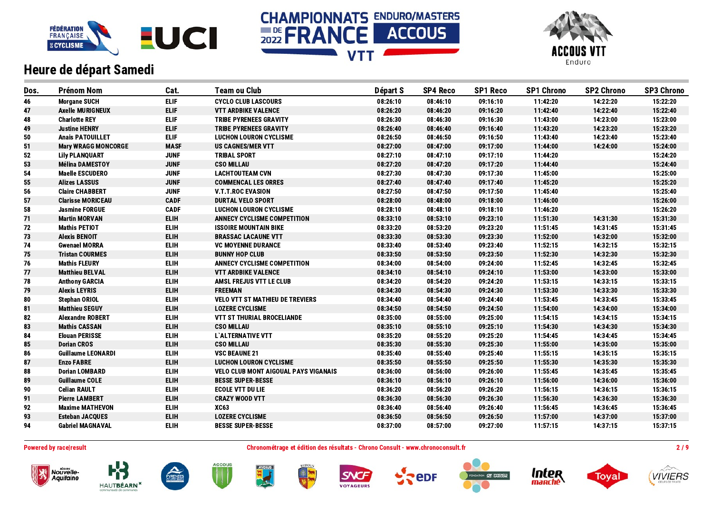





| Dos. | <b>Prénom Nom</b>          | Cat.        | <b>Team ou Club</b>                    | Départ S | <b>SP4 Reco</b> | <b>SP1 Reco</b> | <b>SP1 Chrono</b> | <b>SP2 Chrono</b> | <b>SP3 Chrono</b> |
|------|----------------------------|-------------|----------------------------------------|----------|-----------------|-----------------|-------------------|-------------------|-------------------|
| 46   | <b>Morgane SUCH</b>        | <b>ELIF</b> | <b>CYCLO CLUB LASCOURS</b>             | 08:26:10 | 08:46:10        | 09:16:10        | 11:42:20          | 14:22:20          | 15:22:20          |
| 47   | <b>Axelle MURIGNEUX</b>    | ELIF.       | <b>VTT ARDBIKE VALENCE</b>             | 08:26:20 | 08:46:20        | 09:16:20        | 11:42:40          | 14:22:40          | 15:22:40          |
| 48   | <b>Charlotte REY</b>       | <b>ELIF</b> | <b>TRIBE PYRENEES GRAVITY</b>          | 08:26:30 | 08:46:30        | 09:16:30        | 11:43:00          | 14:23:00          | 15:23:00          |
| 49   | <b>Justine HENRY</b>       | <b>ELIF</b> | <b>TRIBE PYRENEES GRAVITY</b>          | 08:26:40 | 08:46:40        | 09:16:40        | 11:43:20          | 14:23:20          | 15:23:20          |
| 50   | <b>Anais PATOUILLET</b>    | <b>ELIF</b> | <b>LUCHON LOURON CYCLISME</b>          | 08:26:50 | 08:46:50        | 09:16:50        | 11:43:40          | 14:23:40          | 15:23:40          |
| 51   | <b>Mary WRAGG MONCORGE</b> | <b>MASF</b> | <b>US CAGNES/MER VTT</b>               | 08:27:00 | 08:47:00        | 09:17:00        | 11:44:00          | 14:24:00          | 15:24:00          |
| 52   | <b>Lily PLANQUART</b>      | <b>JUNF</b> | <b>TRIBAL SPORT</b>                    | 08:27:10 | 08:47:10        | 09:17:10        | 11:44:20          |                   | 15:24:20          |
| 53   | <b>Mélina DAMESTOY</b>     | <b>JUNF</b> | <b>CSO MILLAU</b>                      | 08:27:20 | 08:47:20        | 09:17:20        | 11:44:40          |                   | 15:24:40          |
| 54   | <b>Maelle ESCUDERO</b>     | <b>JUNF</b> | <b>LACHTOUTEAM CVN</b>                 | 08:27:30 | 08:47:30        | 09:17:30        | 11:45:00          |                   | 15:25:00          |
| 55   | <b>Alizes LASSUS</b>       | <b>JUNF</b> | <b>COMMENCAL LES ORRES</b>             | 08:27:40 | 08:47:40        | 09:17:40        | 11:45:20          |                   | 15:25:20          |
| 56   | <b>Claire CHABBERT</b>     | <b>JUNF</b> | <b>V.T.T.ROC EVASION</b>               | 08:27:50 | 08:47:50        | 09:17:50        | 11:45:40          |                   | 15:25:40          |
| 57   | <b>Clarisse MORICEAU</b>   | <b>CADF</b> | <b>DURTAL VELO SPORT</b>               | 08:28:00 | 08:48:00        | 09:18:00        | 11:46:00          |                   | 15:26:00          |
| 58   | <b>Jasmine FORGUE</b>      | <b>CADF</b> | <b>LUCHON LOURON CYCLISME</b>          | 08:28:10 | 08:48:10        | 09:18:10        | 11:46:20          |                   | 15:26:20          |
| 71   | <b>Martin MORVAN</b>       | <b>ELIH</b> | ANNECY CYCLISME COMPETITION            | 08:33:10 | 08:53:10        | 09:23:10        | 11:51:30          | 14:31:30          | 15:31:30          |
| 72   | <b>Mathis PETIOT</b>       | <b>ELIH</b> | <b>ISSOIRE MOUNTAIN BIKE</b>           | 08:33:20 | 08:53:20        | 09:23:20        | 11:51:45          | 14:31:45          | 15:31:45          |
| 73   | <b>Alexis BENOIT</b>       | <b>ELIH</b> | <b>BRASSAC LACAUNE VTT</b>             | 08:33:30 | 08:53:30        | 09:23:30        | 11:52:00          | 14:32:00          | 15:32:00          |
| 74   | <b>Gwenael MORRA</b>       | <b>ELIH</b> | <b>VC MOYENNE DURANCE</b>              | 08:33:40 | 08:53:40        | 09:23:40        | 11:52:15          | 14:32:15          | 15:32:15          |
| 75   | <b>Tristan COURMES</b>     | <b>ELIH</b> | <b>BUNNY HOP CLUB</b>                  | 08:33:50 | 08:53:50        | 09:23:50        | 11:52:30          | 14:32:30          | 15:32:30          |
| 76   | <b>Mathis FLEURY</b>       | <b>ELIH</b> | ANNECY CYCLISME COMPETITION            | 08:34:00 | 08:54:00        | 09:24:00        | 11:52:45          | 14:32:45          | 15:32:45          |
| 77   | <b>Matthieu BELVAL</b>     | <b>ELIH</b> | <b>VTT ARDBIKE VALENCE</b>             | 08:34:10 | 08:54:10        | 09:24:10        | 11:53:00          | 14:33:00          | 15:33:00          |
| 78   | <b>Anthony GARCIA</b>      | <b>ELIH</b> | AMSL FREJUS VTT LE CLUB                | 08:34:20 | 08:54:20        | 09:24:20        | 11:53:15          | 14:33:15          | 15:33:15          |
| 79   | <b>Alexis LEYRIS</b>       | <b>ELIH</b> | <b>FREEMAN</b>                         | 08:34:30 | 08:54:30        | 09:24:30        | 11:53:30          | 14:33:30          | 15:33:30          |
| 80   | <b>Stephan ORIOL</b>       | <b>ELIH</b> | <b>VELO VTT ST MATHIEU DE TREVIERS</b> | 08:34:40 | 08:54:40        | 09:24:40        | 11:53:45          | 14:33:45          | 15:33:45          |
| 81   | <b>Matthieu SEGUY</b>      | <b>ELIH</b> | <b>LOZERE CYCLISME</b>                 | 08:34:50 | 08:54:50        | 09:24:50        | 11:54:00          | 14:34:00          | 15:34:00          |
| 82   | <b>Alexandre ROBERT</b>    | <b>ELIH</b> | <b>VTT ST THURIAL BROCELIANDE</b>      | 08:35:00 | 08:55:00        | 09:25:00        | 11:54:15          | 14:34:15          | 15:34:15          |
| 83   | <b>Mathis CASSAN</b>       | <b>ELIH</b> | <b>CSO MILLAU</b>                      | 08:35:10 | 08:55:10        | 09:25:10        | 11:54:30          | 14:34:30          | 15:34:30          |
| 84   | <b>Elouan PERISSE</b>      | <b>ELIH</b> | L'ALTERNATIVE VTT                      | 08:35:20 | 08:55:20        | 09:25:20        | 11:54:45          | 14:34:45          | 15:34:45          |
| 85   | <b>Dorian CROS</b>         | <b>ELIH</b> | <b>CSO MILLAU</b>                      | 08:35:30 | 08:55:30        | 09:25:30        | 11:55:00          | 14:35:00          | 15:35:00          |
| 86   | <b>Guillaume LEONARDI</b>  | <b>ELIH</b> | <b>VSC BEAUNE 21</b>                   | 08:35:40 | 08:55:40        | 09:25:40        | 11:55:15          | 14:35:15          | 15:35:15          |
| 87   | <b>Enzo FABRE</b>          | <b>ELIH</b> | <b>LUCHON LOURON CYCLISME</b>          | 08:35:50 | 08:55:50        | 09:25:50        | 11:55:30          | 14:35:30          | 15:35:30          |
| 88   | <b>Dorian LOMBARD</b>      | <b>ELIH</b> | VELO CLUB MONT AIGOUAL PAYS VIGANAIS   | 08:36:00 | 08:56:00        | 09:26:00        | 11:55:45          | 14:35:45          | 15:35:45          |
| 89   | <b>Guillaume COLE</b>      | <b>ELIH</b> | <b>BESSE SUPER-BESSE</b>               | 08:36:10 | 08:56:10        | 09:26:10        | 11:56:00          | 14:36:00          | 15:36:00          |
| 90   | <b>Celian RAULT</b>        | <b>ELIH</b> | <b>ECOLE VTT DU LIE</b>                | 08:36:20 | 08:56:20        | 09:26:20        | 11:56:15          | 14:36:15          | 15:36:15          |
| 91   | <b>Pierre LAMBERT</b>      | <b>ELIH</b> | <b>CRAZY WOOD VTT</b>                  | 08:36:30 | 08:56:30        | 09:26:30        | 11:56:30          | 14:36:30          | 15:36:30          |
| 92   | <b>Maxime MATHEVON</b>     | <b>ELIH</b> | <b>XC63</b>                            | 08:36:40 | 08:56:40        | 09:26:40        | 11:56:45          | 14:36:45          | 15:36:45          |
| 93   | <b>Esteban JACQUES</b>     | <b>ELIH</b> | <b>LOZERE CYCLISME</b>                 | 08:36:50 | 08:56:50        | 09:26:50        | 11:57:00          | 14:37:00          | 15:37:00          |
| 94   | <b>Gabriel MAGNAVAL</b>    | <b>ELIH</b> | <b>BESSE SUPER-BESSE</b>               | 08:37:00 | 08:57:00        | 09:27:00        | 11:57:15          | 14:37:15          | 15:37:15          |

Nouvelle-<br>Aquitaine

**HAUTBÉARN** 

Powered by race|result entertainment consult and the Chronométrage et édition des résultats - Chrono Consult - www.chronoconsult.fr entertainment and the 2 / 9



**ACCOUS** 

PYRENEE









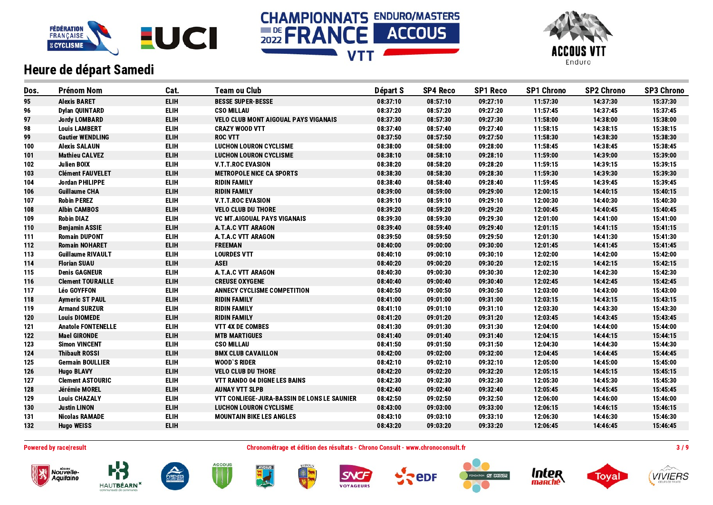





| Dos. | <b>Prénom Nom</b>         | Cat.        | <b>Team ou Club</b>                         | Départ S | <b>SP4 Reco</b> | <b>SP1 Reco</b> | <b>SP1 Chrono</b> | <b>SP2 Chrono</b> | <b>SP3 Chrono</b> |
|------|---------------------------|-------------|---------------------------------------------|----------|-----------------|-----------------|-------------------|-------------------|-------------------|
| 95   | <b>Alexis BARET</b>       | <b>ELIH</b> | <b>BESSE SUPER-BESSE</b>                    | 08:37:10 | 08:57:10        | 09:27:10        | 11:57:30          | 14:37:30          | 15:37:30          |
| 96   | <b>Dylan QUINTARD</b>     | <b>ELIH</b> | <b>CSO MILLAU</b>                           | 08:37:20 | 08:57:20        | 09:27:20        | 11:57:45          | 14:37:45          | 15:37:45          |
| 97   | <b>Jordy LOMBARD</b>      | <b>ELIH</b> | <b>VELO CLUB MONT AIGOUAL PAYS VIGANAIS</b> | 08:37:30 | 08:57:30        | 09:27:30        | 11:58:00          | 14:38:00          | 15:38:00          |
| 98   | <b>Louis LAMBERT</b>      | <b>ELIH</b> | <b>CRAZY WOOD VTT</b>                       | 08:37:40 | 08:57:40        | 09:27:40        | 11:58:15          | 14:38:15          | 15:38:15          |
| 99   | <b>Gautier WENDLING</b>   | <b>ELIH</b> | <b>ROC VTT</b>                              | 08:37:50 | 08:57:50        | 09:27:50        | 11:58:30          | 14:38:30          | 15:38:30          |
| 100  | <b>Alexis SALAUN</b>      | <b>ELIH</b> | <b>LUCHON LOURON CYCLISME</b>               | 08:38:00 | 08:58:00        | 09:28:00        | 11:58:45          | 14:38:45          | 15:38:45          |
| 101  | <b>Mathieu CALVEZ</b>     | <b>ELIH</b> | <b>LUCHON LOURON CYCLISME</b>               | 08:38:10 | 08:58:10        | 09:28:10        | 11:59:00          | 14:39:00          | 15:39:00          |
| 102  | <b>Julien BOIX</b>        | <b>ELIH</b> | <b>V.T.T.ROC EVASION</b>                    | 08:38:20 | 08:58:20        | 09:28:20        | 11:59:15          | 14:39:15          | 15:39:15          |
| 103  | <b>Clément FAUVELET</b>   | <b>ELIH</b> | <b>METROPOLE NICE CA SPORTS</b>             | 08:38:30 | 08:58:30        | 09:28:30        | 11:59:30          | 14:39:30          | 15:39:30          |
| 104  | Jordan PHILIPPE           | <b>ELIH</b> | <b>RIDIN FAMILY</b>                         | 08:38:40 | 08:58:40        | 09:28:40        | 11:59:45          | 14:39:45          | 15:39:45          |
| 106  | <b>Guillaume CHA</b>      | <b>ELIH</b> | <b>RIDIN FAMILY</b>                         | 08:39:00 | 08:59:00        | 09:29:00        | 12:00:15          | 14:40:15          | 15:40:15          |
| 107  | <b>Robin PEREZ</b>        | <b>ELIH</b> | <b>V.T.T.ROC EVASION</b>                    | 08:39:10 | 08:59:10        | 09:29:10        | 12:00:30          | 14:40:30          | 15:40:30          |
| 108  | <b>Albin CAMBOS</b>       | <b>ELIH</b> | <b>VELO CLUB DU THORE</b>                   | 08:39:20 | 08:59:20        | 09:29:20        | 12:00:45          | 14:40:45          | 15:40:45          |
| 109  | <b>Robin DIAZ</b>         | <b>ELIH</b> | <b>VC MT.AIGOUAL PAYS VIGANAIS</b>          | 08:39:30 | 08:59:30        | 09:29:30        | 12:01:00          | 14:41:00          | 15:41:00          |
| 110  | <b>Benjamin ASSIE</b>     | <b>ELIH</b> | <b>A.T.A.C VTT ARAGON</b>                   | 08:39:40 | 08:59:40        | 09:29:40        | 12:01:15          | 14:41:15          | 15:41:15          |
| 111  | <b>Romain DUPONT</b>      | <b>ELIH</b> | A.T.A.C VTT ARAGON                          | 08:39:50 | 08:59:50        | 09:29:50        | 12:01:30          | 14:41:30          | 15:41:30          |
| 112  | <b>Romain NOHARET</b>     | <b>ELIH</b> | <b>FREEMAN</b>                              | 08:40:00 | 09:00:00        | 09:30:00        | 12:01:45          | 14:41:45          | 15:41:45          |
| 113  | <b>Guillaume RIVAULT</b>  | <b>ELIH</b> | <b>LOURDES VTT</b>                          | 08:40:10 | 09:00:10        | 09:30:10        | 12:02:00          | 14:42:00          | 15:42:00          |
| 114  | <b>Florian SUAU</b>       | <b>ELIH</b> | <b>ASEI</b>                                 | 08:40:20 | 09:00:20        | 09:30:20        | 12:02:15          | 14:42:15          | 15:42:15          |
| 115  | <b>Denis GAGNEUR</b>      | <b>ELIH</b> | A.T.A.C VTT ARAGON                          | 08:40:30 | 09:00:30        | 09:30:30        | 12:02:30          | 14:42:30          | 15:42:30          |
| 116  | <b>Clement TOURAILLE</b>  | <b>ELIH</b> | <b>CREUSE OXYGENE</b>                       | 08:40:40 | 09:00:40        | 09:30:40        | 12:02:45          | 14:42:45          | 15:42:45          |
| 117  | <b>Léo GOYFFON</b>        | <b>ELIH</b> | <b>ANNECY CYCLISME COMPETITION</b>          | 08:40:50 | 09:00:50        | 09:30:50        | 12:03:00          | 14:43:00          | 15:43:00          |
| 118  | <b>Aymeric ST PAUL</b>    | <b>ELIH</b> | <b>RIDIN FAMILY</b>                         | 08:41:00 | 09:01:00        | 09:31:00        | 12:03:15          | 14:43:15          | 15:43:15          |
| 119  | <b>Armand SURZUR</b>      | <b>ELIH</b> | <b>RIDIN FAMILY</b>                         | 08:41:10 | 09:01:10        | 09:31:10        | 12:03:30          | 14:43:30          | 15:43:30          |
| 120  | <b>Louis DIOMEDE</b>      | <b>ELIH</b> | <b>RIDIN FAMILY</b>                         | 08:41:20 | 09:01:20        | 09:31:20        | 12:03:45          | 14:43:45          | 15:43:45          |
| 121  | <b>Anatole FONTENELLE</b> | <b>ELIH</b> | <b>VTT 4X DE COMBES</b>                     | 08:41:30 | 09:01:30        | 09:31:30        | 12:04:00          | 14:44:00          | 15:44:00          |
| 122  | <b>Mael GIRONDE</b>       | <b>ELIH</b> | <b>MTB MARTIGUES</b>                        | 08:41:40 | 09:01:40        | 09:31:40        | 12:04:15          | 14:44:15          | 15:44:15          |
| 123  | <b>Simon VINCENT</b>      | <b>ELIH</b> | <b>CSO MILLAU</b>                           | 08:41:50 | 09:01:50        | 09:31:50        | 12:04:30          | 14:44:30          | 15:44:30          |
| 124  | <b>Thibault ROSSI</b>     | <b>ELIH</b> | <b>BMX CLUB CAVAILLON</b>                   | 08:42:00 | 09:02:00        | 09:32:00        | 12:04:45          | 14:44:45          | 15:44:45          |
| 125  | <b>Germain BOULLIER</b>   | <b>ELIH</b> | <b>WOOD'S RIDER</b>                         | 08:42:10 | 09:02:10        | 09:32:10        | 12:05:00          | 14:45:00          | 15:45:00          |
| 126  | <b>Hugo BLAVY</b>         | <b>ELIH</b> | <b>VELO CLUB DU THORE</b>                   | 08:42:20 | 09:02:20        | 09:32:20        | 12:05:15          | 14:45:15          | 15:45:15          |
| 127  | <b>Clement ASTOURIC</b>   | <b>ELIH</b> | <b>VTT RANDO 04 DIGNE LES BAINS</b>         | 08:42:30 | 09:02:30        | 09:32:30        | 12:05:30          | 14:45:30          | 15:45:30          |
| 128  | Jérémie MOREL             | <b>ELIH</b> | <b>AUNAY VTT SLPB</b>                       | 08:42:40 | 09:02:40        | 09:32:40        | 12:05:45          | 14:45:45          | 15:45:45          |
| 129  | <b>Louis CHAZALY</b>      | <b>ELIH</b> | VTT CONLIEGE-JURA-BASSIN DE LONS LE SAUNIER | 08:42:50 | 09:02:50        | 09:32:50        | 12:06:00          | 14:46:00          | 15:46:00          |
| 130  | <b>Justin LINON</b>       | <b>ELIH</b> | <b>LUCHON LOURON CYCLISME</b>               | 08:43:00 | 09:03:00        | 09:33:00        | 12:06:15          | 14:46:15          | 15:46:15          |
| 131  | <b>Nicolas RAMADE</b>     | <b>ELIH</b> | <b>MOUNTAIN BIKE LES ANGLES</b>             | 08:43:10 | 09:03:10        | 09:33:10        | 12:06:30          | 14:46:30          | 15:46:30          |
| 132  | <b>Hugo WEISS</b>         | <b>ELIH</b> |                                             | 08:43:20 | 09:03:20        | 09:33:20        | 12:06:45          | 14:46:45          | 15:46:45          |
|      |                           |             |                                             |          |                 |                 |                   |                   |                   |

Powered by race|result entertainment consult and the Chronométrage et édition des résultats - Chrono Consult - www.chronoconsult.fr 3 / 9



















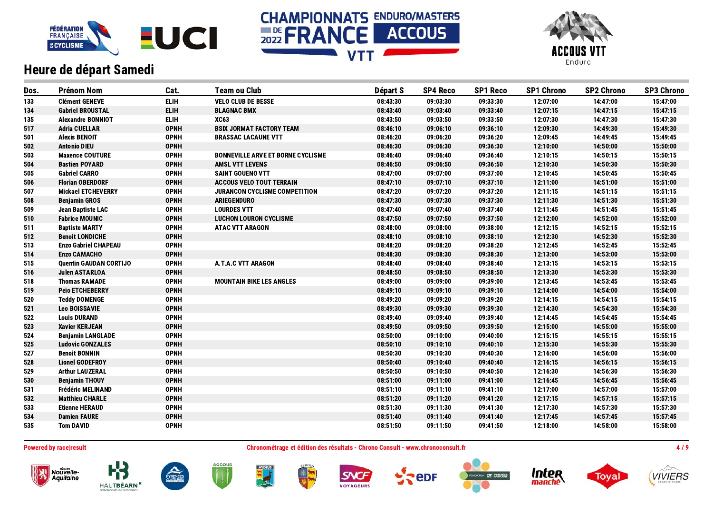





| Dos. | <b>Prénom Nom</b>             | Cat.        | <b>Team ou Club</b>                      | Départ S | <b>SP4 Reco</b> | <b>SP1 Reco</b> | <b>SP1 Chrono</b> | <b>SP2 Chrono</b> | <b>SP3 Chrono</b> |
|------|-------------------------------|-------------|------------------------------------------|----------|-----------------|-----------------|-------------------|-------------------|-------------------|
| 133  | <b>Clément GENEVE</b>         | <b>ELIH</b> | <b>VELO CLUB DE BESSE</b>                | 08:43:30 | 09:03:30        | 09:33:30        | 12:07:00          | 14:47:00          | 15:47:00          |
| 134  | <b>Gabriel BROUSTAL</b>       | <b>ELIH</b> | <b>BLAGNAC BMX</b>                       | 08:43:40 | 09:03:40        | 09:33:40        | 12:07:15          | 14:47:15          | 15:47:15          |
| 135  | <b>Alexandre BONNIOT</b>      | <b>ELIH</b> | <b>XC63</b>                              | 08:43:50 | 09:03:50        | 09:33:50        | 12:07:30          | 14:47:30          | 15:47:30          |
| 517  | <b>Adria CUELLAR</b>          | <b>OPNH</b> | <b>BSIX JORMAT FACTORY TEAM</b>          | 08:46:10 | 09:06:10        | 09:36:10        | 12:09:30          | 14:49:30          | 15:49:30          |
| 501  | <b>Alexis BENOIT</b>          | <b>OPNH</b> | <b>BRASSAC LACAUNE VTT</b>               | 08:46:20 | 09:06:20        | 09:36:20        | 12:09:45          | 14:49:45          | 15:49:45          |
| 502  | <b>Antonio DIEU</b>           | <b>OPNH</b> |                                          | 08:46:30 | 09:06:30        | 09:36:30        | 12:10:00          | 14:50:00          | 15:50:00          |
| 503  | <b>Maxence COUTURE</b>        | <b>OPNH</b> | <b>BONNEVILLE ARVE ET BORNE CYCLISME</b> | 08:46:40 | 09:06:40        | 09:36:40        | 12:10:15          | 14:50:15          | 15:50:15          |
| 504  | <b>Bastien POYARD</b>         | <b>OPNH</b> | <b>AMSL VTT LEVENS</b>                   | 08:46:50 | 09:06:50        | 09:36:50        | 12:10:30          | 14:50:30          | 15:50:30          |
| 505  | <b>Gabriel CARRO</b>          | <b>OPNH</b> | <b>SAINT GOUENO VTT</b>                  | 08:47:00 | 09:07:00        | 09:37:00        | 12:10:45          | 14:50:45          | 15:50:45          |
| 506  | <b>Florian OBERDORF</b>       | <b>OPNH</b> | <b>ACCOUS VELO TOUT TERRAIN</b>          | 08:47:10 | 09:07:10        | 09:37:10        | 12:11:00          | 14:51:00          | 15:51:00          |
| 507  | <b>Mickael ETCHEVERRY</b>     | <b>OPNH</b> | JURANCON CYCLISME COMPETITION            | 08:47:20 | 09:07:20        | 09:37:20        | 12:11:15          | 14:51:15          | 15:51:15          |
| 508  | <b>Benjamin GROS</b>          | <b>OPNH</b> | <b>ARIEGENDURO</b>                       | 08:47:30 | 09:07:30        | 09:37:30        | 12:11:30          | 14:51:30          | 15:51:30          |
| 509  | Jean Baptiste LAC             | <b>OPNH</b> | <b>LOURDES VTT</b>                       | 08:47:40 | 09:07:40        | 09:37:40        | 12:11:45          | 14:51:45          | 15:51:45          |
| 510  | <b>Fabrice MOUNIC</b>         | <b>OPNH</b> | <b>LUCHON LOURON CYCLISME</b>            | 08:47:50 | 09:07:50        | 09:37:50        | 12:12:00          | 14:52:00          | 15:52:00          |
| 511  | <b>Baptiste MARTY</b>         | <b>OPNH</b> | <b>ATAC VTT ARAGON</b>                   | 08:48:00 | 09:08:00        | 09:38:00        | 12:12:15          | 14:52:15          | 15:52:15          |
| 512  | <b>Benoit LONDICHE</b>        | <b>OPNH</b> |                                          | 08:48:10 | 09:08:10        | 09:38:10        | 12:12:30          | 14:52:30          | 15:52:30          |
| 513  | <b>Enzo Gabriel CHAPEAU</b>   | <b>OPNH</b> |                                          | 08:48:20 | 09:08:20        | 09:38:20        | 12:12:45          | 14:52:45          | 15:52:45          |
| 514  | <b>Enzo CAMACHO</b>           | <b>OPNH</b> |                                          | 08:48:30 | 09:08:30        | 09:38:30        | 12:13:00          | 14:53:00          | 15:53:00          |
| 515  | <b>Quentin GAUDAN CORTIJO</b> | <b>OPNH</b> | A.T.A.C VTT ARAGON                       | 08:48:40 | 09:08:40        | 09:38:40        | 12:13:15          | 14:53:15          | 15:53:15          |
| 516  | <b>Julen ASTARLOA</b>         | <b>OPNH</b> |                                          | 08:48:50 | 09:08:50        | 09:38:50        | 12:13:30          | 14:53:30          | 15:53:30          |
| 518  | <b>Thomas RAMADE</b>          | <b>OPNH</b> | <b>MOUNTAIN BIKE LES ANGLES</b>          | 08:49:00 | 09:09:00        | 09:39:00        | 12:13:45          | 14:53:45          | 15:53:45          |
| 519  | <b>Peio ETCHEBERRY</b>        | <b>OPNH</b> |                                          | 08:49:10 | 09:09:10        | 09:39:10        | 12:14:00          | 14:54:00          | 15:54:00          |
| 520  | <b>Teddy DOMENGE</b>          | <b>OPNH</b> |                                          | 08:49:20 | 09:09:20        | 09:39:20        | 12:14:15          | 14:54:15          | 15:54:15          |
| 521  | <b>Leo BOISSAVIE</b>          | <b>OPNH</b> |                                          | 08:49:30 | 09:09:30        | 09:39:30        | 12:14:30          | 14:54:30          | 15:54:30          |
| 522  | <b>Louis DURAND</b>           | <b>OPNH</b> |                                          | 08:49:40 | 09:09:40        | 09:39:40        | 12:14:45          | 14:54:45          | 15:54:45          |
| 523  | <b>Xavier KERJEAN</b>         | <b>OPNH</b> |                                          | 08:49:50 | 09:09:50        | 09:39:50        | 12:15:00          | 14:55:00          | 15:55:00          |
| 524  | <b>Benjamin LANGLADE</b>      | <b>OPNH</b> |                                          | 08:50:00 | 09:10:00        | 09:40:00        | 12:15:15          | 14:55:15          | 15:55:15          |
| 525  | <b>Ludovic GONZALES</b>       | <b>OPNH</b> |                                          | 08:50:10 | 09:10:10        | 09:40:10        | 12:15:30          | 14:55:30          | 15:55:30          |
| 527  | <b>Benoit BONNIN</b>          | <b>OPNH</b> |                                          | 08:50:30 | 09:10:30        | 09:40:30        | 12:16:00          | 14:56:00          | 15:56:00          |
| 528  | <b>Lionel GODEFROY</b>        | <b>OPNH</b> |                                          | 08:50:40 | 09:10:40        | 09:40:40        | 12:16:15          | 14:56:15          | 15:56:15          |
| 529  | <b>Arthur LAUZERAL</b>        | <b>OPNH</b> |                                          | 08:50:50 | 09:10:50        | 09:40:50        | 12:16:30          | 14:56:30          | 15:56:30          |
| 530  | <b>Benjamin THOUY</b>         | <b>OPNH</b> |                                          | 08:51:00 | 09:11:00        | 09:41:00        | 12:16:45          | 14:56:45          | 15:56:45          |
| 531  | <b>Frédéric MELINAND</b>      | <b>OPNH</b> |                                          | 08:51:10 | 09:11:10        | 09:41:10        | 12:17:00          | 14:57:00          | 15:57:00          |
| 532  | <b>Matthieu CHARLE</b>        | <b>OPNH</b> |                                          | 08:51:20 | 09:11:20        | 09:41:20        | 12:17:15          | 14:57:15          | 15:57:15          |
| 533  | <b>Etienne HERAUD</b>         | <b>OPNH</b> |                                          | 08:51:30 | 09:11:30        | 09:41:30        | 12:17:30          | 14:57:30          | 15:57:30          |
| 534  | <b>Damien FAURE</b>           | <b>OPNH</b> |                                          | 08:51:40 | 09:11:40        | 09:41:40        | 12:17:45          | 14:57:45          | 15:57:45          |
| 535  | <b>Tom DAVID</b>              | <b>OPNH</b> |                                          | 08:51:50 | 09:11:50        | 09:41:50        | 12:18:00          | 14:58:00          | 15:58:00          |

Powered by race|result entertainment and the Chronométrage et édition des résultats - Chrono Consult - www.chronoconsult.fr 4/9













epF





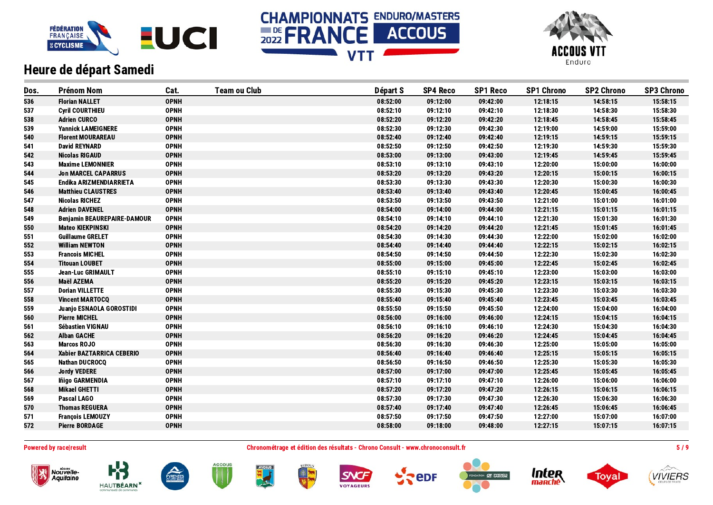





| Dos. | <b>Prénom Nom</b>                  | Cat.        | <b>Team ou Club</b> | Départ S | <b>SP4 Reco</b> | <b>SP1 Reco</b> | <b>SP1 Chrono</b> | <b>SP2 Chrono</b> | <b>SP3 Chrono</b> |
|------|------------------------------------|-------------|---------------------|----------|-----------------|-----------------|-------------------|-------------------|-------------------|
| 536  | <b>Florian NALLET</b>              | <b>OPNH</b> |                     | 08:52:00 | 09:12:00        | 09:42:00        | 12:18:15          | 14:58:15          | 15:58:15          |
| 537  | <b>Cyril COURTHIEU</b>             | <b>OPNH</b> |                     | 08:52:10 | 09:12:10        | 09:42:10        | 12:18:30          | 14:58:30          | 15:58:30          |
| 538  | <b>Adrien CURCO</b>                | <b>OPNH</b> |                     | 08:52:20 | 09:12:20        | 09:42:20        | 12:18:45          | 14:58:45          | 15:58:45          |
| 539  | <b>Yannick LAMEIGNERE</b>          | <b>OPNH</b> |                     | 08:52:30 | 09:12:30        | 09:42:30        | 12:19:00          | 14:59:00          | 15:59:00          |
| 540  | <b>Florent MOURAREAU</b>           | <b>OPNH</b> |                     | 08:52:40 | 09:12:40        | 09:42:40        | 12:19:15          | 14:59:15          | 15:59:15          |
| 541  | <b>David REYNARD</b>               | <b>OPNH</b> |                     | 08:52:50 | 09:12:50        | 09:42:50        | 12:19:30          | 14:59:30          | 15:59:30          |
| 542  | <b>Nicolas RIGAUD</b>              | <b>OPNH</b> |                     | 08:53:00 | 09:13:00        | 09:43:00        | 12:19:45          | 14:59:45          | 15:59:45          |
| 543  | <b>Maxime LEMONNIER</b>            | <b>OPNH</b> |                     | 08:53:10 | 09:13:10        | 09:43:10        | 12:20:00          | 15:00:00          | 16:00:00          |
| 544  | <b>Jon MARCEL CAPARRUS</b>         | <b>OPNH</b> |                     | 08:53:20 | 09:13:20        | 09:43:20        | 12:20:15          | 15:00:15          | 16:00:15          |
| 545  | Endika ARIZMENDIARRIETA            | <b>OPNH</b> |                     | 08:53:30 | 09:13:30        | 09:43:30        | 12:20:30          | 15:00:30          | 16:00:30          |
| 546  | <b>Matthieu CLAUSTRES</b>          | <b>OPNH</b> |                     | 08:53:40 | 09:13:40        | 09:43:40        | 12:20:45          | 15:00:45          | 16:00:45          |
| 547  | <b>Nicolas RICHEZ</b>              | <b>OPNH</b> |                     | 08:53:50 | 09:13:50        | 09:43:50        | 12:21:00          | 15:01:00          | 16:01:00          |
| 548  | <b>Adrien DAVENEL</b>              | <b>OPNH</b> |                     | 08:54:00 | 09:14:00        | 09:44:00        | 12:21:15          | 15:01:15          | 16:01:15          |
| 549  | <b>Benjamin BEAUREPAIRE-DAMOUR</b> | <b>OPNH</b> |                     | 08:54:10 | 09:14:10        | 09:44:10        | 12:21:30          | 15:01:30          | 16:01:30          |
| 550  | <b>Mateo KIEKPINSKI</b>            | <b>OPNH</b> |                     | 08:54:20 | 09:14:20        | 09:44:20        | 12:21:45          | 15:01:45          | 16:01:45          |
| 551  | <b>Guillaume GRELET</b>            | <b>OPNH</b> |                     | 08:54:30 | 09:14:30        | 09:44:30        | 12:22:00          | 15:02:00          | 16:02:00          |
| 552  | <b>William NEWTON</b>              | <b>OPNH</b> |                     | 08:54:40 | 09:14:40        | 09:44:40        | 12:22:15          | 15:02:15          | 16:02:15          |
| 553  | <b>Francois MICHEL</b>             | <b>OPNH</b> |                     | 08:54:50 | 09:14:50        | 09:44:50        | 12:22:30          | 15:02:30          | 16:02:30          |
| 554  | <b>Titouan LOUBET</b>              | <b>OPNH</b> |                     | 08:55:00 | 09:15:00        | 09:45:00        | 12:22:45          | 15:02:45          | 16:02:45          |
| 555  | <b>Jean-Luc GRIMAULT</b>           | <b>OPNH</b> |                     | 08:55:10 | 09:15:10        | 09:45:10        | 12:23:00          | 15:03:00          | 16:03:00          |
| 556  | Maël AZEMA                         | <b>OPNH</b> |                     | 08:55:20 | 09:15:20        | 09:45:20        | 12:23:15          | 15:03:15          | 16:03:15          |
| 557  | <b>Dorian VILLETTE</b>             | <b>OPNH</b> |                     | 08:55:30 | 09:15:30        | 09:45:30        | 12:23:30          | 15:03:30          | 16:03:30          |
| 558  | <b>Vincent MARTOCQ</b>             | <b>OPNH</b> |                     | 08:55:40 | 09:15:40        | 09:45:40        | 12:23:45          | 15:03:45          | 16:03:45          |
| 559  | Juanjo ESNAOLA GOROSTIDI           | <b>OPNH</b> |                     | 08:55:50 | 09:15:50        | 09:45:50        | 12:24:00          | 15:04:00          | 16:04:00          |
| 560  | <b>Pierre MICHEL</b>               | <b>OPNH</b> |                     | 08:56:00 | 09:16:00        | 09:46:00        | 12:24:15          | 15:04:15          | 16:04:15          |
| 561  | Sébastien VIGNAU                   | <b>OPNH</b> |                     | 08:56:10 | 09:16:10        | 09:46:10        | 12:24:30          | 15:04:30          | 16:04:30          |
| 562  | <b>Alban GACHE</b>                 | <b>OPNH</b> |                     | 08:56:20 | 09:16:20        | 09:46:20        | 12:24:45          | 15:04:45          | 16:04:45          |
| 563  | <b>Marcos ROJO</b>                 | <b>OPNH</b> |                     | 08:56:30 | 09:16:30        | 09:46:30        | 12:25:00          | 15:05:00          | 16:05:00          |
| 564  | Xabier BAZTARRICA CEBERIO          | <b>OPNH</b> |                     | 08:56:40 | 09:16:40        | 09:46:40        | 12:25:15          | 15:05:15          | 16:05:15          |
| 565  | <b>Nathan DUCROCQ</b>              | <b>OPNH</b> |                     | 08:56:50 | 09:16:50        | 09:46:50        | 12:25:30          | 15:05:30          | 16:05:30          |
| 566  | <b>Jordy VEDERE</b>                | <b>OPNH</b> |                     | 08:57:00 | 09:17:00        | 09:47:00        | 12:25:45          | 15:05:45          | 16:05:45          |
| 567  | Iñigo GARMENDIA                    | <b>OPNH</b> |                     | 08:57:10 | 09:17:10        | 09:47:10        | 12:26:00          | 15:06:00          | 16:06:00          |
| 568  | <b>Mikael GHETTI</b>               | <b>OPNH</b> |                     | 08:57:20 | 09:17:20        | 09:47:20        | 12:26:15          | 15:06:15          | 16:06:15          |
| 569  | Pascal LAGO                        | <b>OPNH</b> |                     | 08:57:30 | 09:17:30        | 09:47:30        | 12:26:30          | 15:06:30          | 16:06:30          |
| 570  | <b>Thomas REGUERA</b>              | <b>OPNH</b> |                     | 08:57:40 | 09:17:40        | 09:47:40        | 12:26:45          | 15:06:45          | 16:06:45          |
| 571  | <b>François LEMOUZY</b>            | <b>OPNH</b> |                     | 08:57:50 | 09:17:50        | 09:47:50        | 12:27:00          | 15:07:00          | 16:07:00          |
| 572  | <b>Pierre BORDAGE</b>              | <b>OPNH</b> |                     | 08:58:00 | 09:18:00        | 09:48:00        | 12:27:15          | 15:07:15          | 16:07:15          |
|      |                                    |             |                     |          |                 |                 |                   |                   |                   |

Nouvelle-<br>Aquitaine

**HAUTBÉARN** 

Powered by race|result **Chronométrage et édition des résultats - Chrono Consult - www.chronoconsult.fr** 5 / 9

SNCF

**VOYAGEURS** 

**ACCOUS** 

PYRENEE

**AYDIUS** 

 $\frac{1}{2}$ 





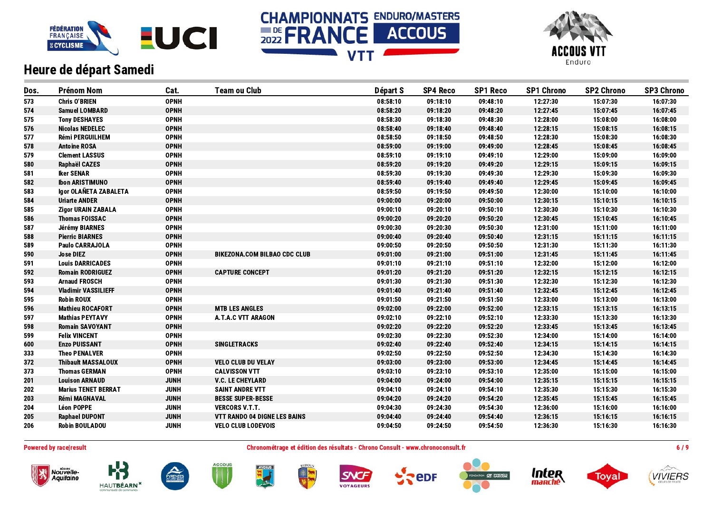





| Dos. | <b>Prénom Nom</b>          | Cat.        | <b>Team ou Club</b>                 | Départ S | <b>SP4 Reco</b> | <b>SP1 Reco</b> | <b>SP1 Chrono</b> | <b>SP2 Chrono</b> | <b>SP3 Chrono</b> |
|------|----------------------------|-------------|-------------------------------------|----------|-----------------|-----------------|-------------------|-------------------|-------------------|
| 573  | <b>Chris O'BRIEN</b>       | <b>OPNH</b> |                                     | 08:58:10 | 09:18:10        | 09:48:10        | 12:27:30          | 15:07:30          | 16:07:30          |
| 574  | <b>Samuel LOMBARD</b>      | <b>OPNH</b> |                                     | 08:58:20 | 09:18:20        | 09:48:20        | 12:27:45          | 15:07:45          | 16:07:45          |
| 575  | <b>Tony DESHAYES</b>       | <b>OPNH</b> |                                     | 08:58:30 | 09:18:30        | 09:48:30        | 12:28:00          | 15:08:00          | 16:08:00          |
| 576  | <b>Nicolas NEDELEC</b>     | <b>OPNH</b> |                                     | 08:58:40 | 09:18:40        | 09:48:40        | 12:28:15          | 15:08:15          | 16:08:15          |
| 577  | <b>Rémi PERGUILHEM</b>     | <b>OPNH</b> |                                     | 08:58:50 | 09:18:50        | 09:48:50        | 12:28:30          | 15:08:30          | 16:08:30          |
| 578  | <b>Antoine ROSA</b>        | <b>OPNH</b> |                                     | 08:59:00 | 09:19:00        | 09:49:00        | 12:28:45          | 15:08:45          | 16:08:45          |
| 579  | <b>Clement LASSUS</b>      | <b>OPNH</b> |                                     | 08:59:10 | 09:19:10        | 09:49:10        | 12:29:00          | 15:09:00          | 16:09:00          |
| 580  | <b>Raphaël CAZES</b>       | <b>OPNH</b> |                                     | 08:59:20 | 09:19:20        | 09:49:20        | 12:29:15          | 15:09:15          | 16:09:15          |
| 581  | <b>Iker SENAR</b>          | <b>OPNH</b> |                                     | 08:59:30 | 09:19:30        | 09:49:30        | 12:29:30          | 15:09:30          | 16:09:30          |
| 582  | <b>Ibon ARISTIMUNO</b>     | <b>OPNH</b> |                                     | 08:59:40 | 09:19:40        | 09:49:40        | 12:29:45          | 15:09:45          | 16:09:45          |
| 583  | Igor OLAÑETA ZABALETA      | <b>OPNH</b> |                                     | 08:59:50 | 09:19:50        | 09:49:50        | 12:30:00          | 15:10:00          | 16:10:00          |
| 584  | <b>Uriarte ANDER</b>       | <b>OPNH</b> |                                     | 09:00:00 | 09:20:00        | 09:50:00        | 12:30:15          | 15:10:15          | 16:10:15          |
| 585  | <b>Zigor URAIN ZABALA</b>  | <b>OPNH</b> |                                     | 09:00:10 | 09:20:10        | 09:50:10        | 12:30:30          | 15:10:30          | 16:10:30          |
| 586  | <b>Thomas FOISSAC</b>      | <b>OPNH</b> |                                     | 09:00:20 | 09:20:20        | 09:50:20        | 12:30:45          | 15:10:45          | 16:10:45          |
| 587  | Jérémy BIARNES             | <b>OPNH</b> |                                     | 09:00:30 | 09:20:30        | 09:50:30        | 12:31:00          | 15:11:00          | 16:11:00          |
| 588  | <b>Pierric BIARNES</b>     | <b>OPNH</b> |                                     | 09:00:40 | 09:20:40        | 09:50:40        | 12:31:15          | 15:11:15          | 16:11:15          |
| 589  | <b>Paulo CARRAJOLA</b>     | <b>OPNH</b> |                                     | 09:00:50 | 09:20:50        | 09:50:50        | 12:31:30          | 15:11:30          | 16:11:30          |
| 590  | <b>Jose DIEZ</b>           | <b>OPNH</b> | <b>BIKEZONA.COM BILBAO CDC CLUB</b> | 09:01:00 | 09:21:00        | 09:51:00        | 12:31:45          | 15:11:45          | 16:11:45          |
| 591  | <b>Louis DARRICADES</b>    | <b>OPNH</b> |                                     | 09:01:10 | 09:21:10        | 09:51:10        | 12:32:00          | 15:12:00          | 16:12:00          |
| 592  | <b>Romain RODRIGUEZ</b>    | <b>OPNH</b> | <b>CAPTURE CONCEPT</b>              | 09:01:20 | 09:21:20        | 09:51:20        | 12:32:15          | 15:12:15          | 16:12:15          |
| 593  | <b>Arnaud FROSCH</b>       | <b>OPNH</b> |                                     | 09:01:30 | 09:21:30        | 09:51:30        | 12:32:30          | 15:12:30          | 16:12:30          |
| 594  | <b>Vladimir VASSILIEFF</b> | <b>OPNH</b> |                                     | 09:01:40 | 09:21:40        | 09:51:40        | 12:32:45          | 15:12:45          | 16:12:45          |
| 595  | <b>Robin ROUX</b>          | <b>OPNH</b> |                                     | 09:01:50 | 09:21:50        | 09:51:50        | 12:33:00          | 15:13:00          | 16:13:00          |
| 596  | <b>Mathieu ROCAFORT</b>    | <b>OPNH</b> | <b>MTB LES ANGLES</b>               | 09:02:00 | 09:22:00        | 09:52:00        | 12:33:15          | 15:13:15          | 16:13:15          |
| 597  | <b>Mathias PEYTAVY</b>     | <b>OPNH</b> | <b>A.T.A.C VTT ARAGON</b>           | 09:02:10 | 09:22:10        | 09:52:10        | 12:33:30          | 15:13:30          | 16:13:30          |
| 598  | <b>Romain SAVOYANT</b>     | <b>OPNH</b> |                                     | 09:02:20 | 09:22:20        | 09:52:20        | 12:33:45          | 15:13:45          | 16:13:45          |
| 599  | <b>Felix VINCENT</b>       | <b>OPNH</b> |                                     | 09:02:30 | 09:22:30        | 09:52:30        | 12:34:00          | 15:14:00          | 16:14:00          |
| 600  | <b>Enzo PUISSANT</b>       | <b>OPNH</b> | <b>SINGLETRACKS</b>                 | 09:02:40 | 09:22:40        | 09:52:40        | 12:34:15          | 15:14:15          | 16:14:15          |
| 333  | <b>Theo PENALVER</b>       | <b>OPNH</b> |                                     | 09:02:50 | 09:22:50        | 09:52:50        | 12:34:30          | 15:14:30          | 16:14:30          |
| 372  | <b>Thibault MASSALOUX</b>  | <b>OPNH</b> | <b>VELO CLUB DU VELAY</b>           | 09:03:00 | 09:23:00        | 09:53:00        | 12:34:45          | 15:14:45          | 16:14:45          |
| 373  | <b>Thomas GERMAN</b>       | <b>OPNH</b> | <b>CALVISSON VTT</b>                | 09:03:10 | 09:23:10        | 09:53:10        | 12:35:00          | 15:15:00          | 16:15:00          |
| 201  | <b>Louison ARNAUD</b>      | <b>JUNH</b> | <b>V.C. LE CHEYLARD</b>             | 09:04:00 | 09:24:00        | 09:54:00        | 12:35:15          | 15:15:15          | 16:15:15          |
| 202  | <b>Marius TENET BERRAT</b> | <b>JUNH</b> | <b>SAINT ANDRE VTT</b>              | 09:04:10 | 09:24:10        | 09:54:10        | 12:35:30          | 15:15:30          | 16:15:30          |
| 203  | <b>Rémi MAGNAVAL</b>       | <b>JUNH</b> | <b>BESSE SUPER-BESSE</b>            | 09:04:20 | 09:24:20        | 09:54:20        | 12:35:45          | 15:15:45          | 16:15:45          |
| 204  | <b>Léon POPPE</b>          | <b>JUNH</b> | <b>VERCORS V.T.T.</b>               | 09:04:30 | 09:24:30        | 09:54:30        | 12:36:00          | 15:16:00          | 16:16:00          |
| 205  | <b>Raphael DUPONT</b>      | <b>JUNH</b> | VTT RANDO 04 DIGNE LES BAINS        | 09:04:40 | 09:24:40        | 09:54:40        | 12:36:15          | 15:16:15          | 16:16:15          |
| 206  | <b>Robin BOULADOU</b>      | <b>JUNH</b> | <b>VELO CLUB LODEVOIS</b>           | 09:04:50 | 09:24:50        | 09:54:50        | 12:36:30          | 15:16:30          | 16:16:30          |

Powered by race|result entertainment consult and the Chronométrage et édition des résultats - Chrono Consult - www.chronoconsult.fr 6 / 9









PYRENEE











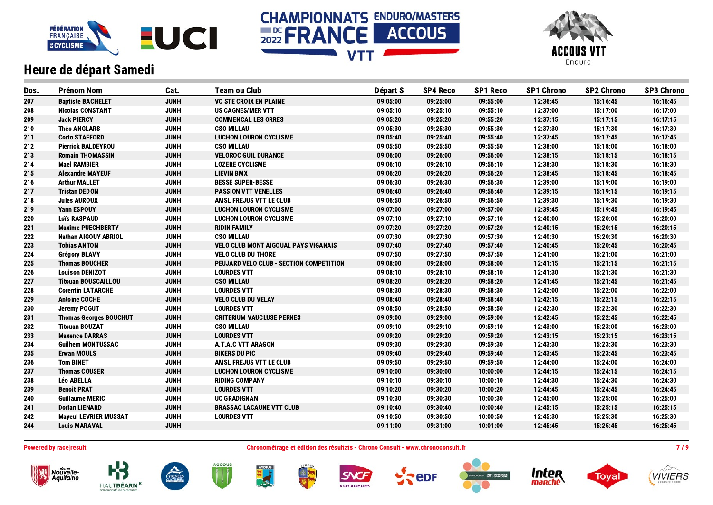





| Dos. | <b>Prénom Nom</b>             | Cat.        | <b>Team ou Club</b>                         | Départ S | <b>SP4 Reco</b> | <b>SP1 Reco</b> | <b>SP1 Chrono</b> | <b>SP2 Chrono</b> | <b>SP3 Chrono</b> |
|------|-------------------------------|-------------|---------------------------------------------|----------|-----------------|-----------------|-------------------|-------------------|-------------------|
| 207  | <b>Baptiste BACHELET</b>      | <b>JUNH</b> | <b>VC STE CROIX EN PLAINE</b>               | 09:05:00 | 09:25:00        | 09:55:00        | 12:36:45          | 15:16:45          | 16:16:45          |
| 208  | <b>Nicolas CONSTANT</b>       | <b>JUNH</b> | <b>US CAGNES/MER VTT</b>                    | 09:05:10 | 09:25:10        | 09:55:10        | 12:37:00          | 15:17:00          | 16:17:00          |
| 209  | <b>Jack PIERCY</b>            | <b>JUNH</b> | <b>COMMENCAL LES ORRES</b>                  | 09:05:20 | 09:25:20        | 09:55:20        | 12:37:15          | 15:17:15          | 16:17:15          |
| 210  | <b>Théo ANGLARS</b>           | <b>JUNH</b> | <b>CSO MILLAU</b>                           | 09:05:30 | 09:25:30        | 09:55:30        | 12:37:30          | 15:17:30          | 16:17:30          |
| 211  | <b>Corto STAFFORD</b>         | <b>JUNH</b> | <b>LUCHON LOURON CYCLISME</b>               | 09:05:40 | 09:25:40        | 09:55:40        | 12:37:45          | 15:17:45          | 16:17:45          |
| 212  | <b>Pierrick BALDEYROU</b>     | <b>JUNH</b> | <b>CSO MILLAU</b>                           | 09:05:50 | 09:25:50        | 09:55:50        | 12:38:00          | 15:18:00          | 16:18:00          |
| 213  | <b>Romain THOMASSIN</b>       | <b>JUNH</b> | <b>VELOROC GUIL DURANCE</b>                 | 09:06:00 | 09:26:00        | 09:56:00        | 12:38:15          | 15:18:15          | 16:18:15          |
| 214  | <b>Mael RAMBIER</b>           | <b>JUNH</b> | <b>LOZERE CYCLISME</b>                      | 09:06:10 | 09:26:10        | 09:56:10        | 12:38:30          | 15:18:30          | 16:18:30          |
| 215  | <b>Alexandre MAYEUF</b>       | <b>JUNH</b> | <b>LIEVIN BMX</b>                           | 09:06:20 | 09:26:20        | 09:56:20        | 12:38:45          | 15:18:45          | 16:18:45          |
| 216  | <b>Arthur MALLET</b>          | <b>JUNH</b> | <b>BESSE SUPER-BESSE</b>                    | 09:06:30 | 09:26:30        | 09:56:30        | 12:39:00          | 15:19:00          | 16:19:00          |
| 217  | <b>Tristan DEDON</b>          | <b>JUNH</b> | <b>PASSION VTT VENELLES</b>                 | 09:06:40 | 09:26:40        | 09:56:40        | 12:39:15          | 15:19:15          | 16:19:15          |
| 218  | <b>Jules AUROUX</b>           | <b>JUNH</b> | <b>AMSL FREJUS VTT LE CLUB</b>              | 09:06:50 | 09:26:50        | 09:56:50        | 12:39:30          | 15:19:30          | 16:19:30          |
| 219  | <b>Yann ESPOUY</b>            | <b>JUNH</b> | <b>LUCHON LOURON CYCLISME</b>               | 09:07:00 | 09:27:00        | 09:57:00        | 12:39:45          | 15:19:45          | 16:19:45          |
| 220  | <b>Lois RASPAUD</b>           | <b>JUNH</b> | <b>LUCHON LOURON CYCLISME</b>               | 09:07:10 | 09:27:10        | 09:57:10        | 12:40:00          | 15:20:00          | 16:20:00          |
| 221  | <b>Maxime PUECHBERTY</b>      | <b>JUNH</b> | <b>RIDIN FAMILY</b>                         | 09:07:20 | 09:27:20        | 09:57:20        | 12:40:15          | 15:20:15          | 16:20:15          |
| 222  | Nathan AIGOUY ABRIOL          | <b>JUNH</b> | <b>CSO MILLAU</b>                           | 09:07:30 | 09:27:30        | 09:57:30        | 12:40:30          | 15:20:30          | 16:20:30          |
| 223  | <b>Tobias ANTON</b>           | <b>JUNH</b> | <b>VELO CLUB MONT AIGOUAL PAYS VIGANAIS</b> | 09:07:40 | 09:27:40        | 09:57:40        | 12:40:45          | 15:20:45          | 16:20:45          |
| 224  | <b>Grégory BLAVY</b>          | <b>JUNH</b> | <b>VELO CLUB DU THORE</b>                   | 09:07:50 | 09:27:50        | 09:57:50        | 12:41:00          | 15:21:00          | 16:21:00          |
| 225  | <b>Thomas BOUCHER</b>         | <b>JUNH</b> | PEUJARD VELO CLUB - SECTION COMPETITION     | 09:08:00 | 09:28:00        | 09:58:00        | 12:41:15          | 15:21:15          | 16:21:15          |
| 226  | <b>Louison DENIZOT</b>        | <b>JUNH</b> | <b>LOURDES VTT</b>                          | 09:08:10 | 09:28:10        | 09:58:10        | 12:41:30          | 15:21:30          | 16:21:30          |
| 227  | <b>Titouan BOUSCAILLOU</b>    | <b>JUNH</b> | <b>CSO MILLAU</b>                           | 09:08:20 | 09:28:20        | 09:58:20        | 12:41:45          | 15:21:45          | 16:21:45          |
| 228  | <b>Corentin LATARCHE</b>      | <b>JUNH</b> | <b>LOURDES VTT</b>                          | 09:08:30 | 09:28:30        | 09:58:30        | 12:42:00          | 15:22:00          | 16:22:00          |
| 229  | <b>Antoine COCHE</b>          | <b>JUNH</b> | <b>VELO CLUB DU VELAY</b>                   | 09:08:40 | 09:28:40        | 09:58:40        | 12:42:15          | 15:22:15          | 16:22:15          |
| 230  | Jeremy POGUT                  | <b>JUNH</b> | <b>LOURDES VTT</b>                          | 09:08:50 | 09:28:50        | 09:58:50        | 12:42:30          | 15:22:30          | 16:22:30          |
| 231  | <b>Thomas Georges BOUCHUT</b> | <b>JUNH</b> | <b>CRITERIUM VAUCLUSE PERNES</b>            | 09:09:00 | 09:29:00        | 09:59:00        | 12:42:45          | 15:22:45          | 16:22:45          |
| 232  | <b>Titouan BOUZAT</b>         | <b>JUNH</b> | <b>CSO MILLAU</b>                           | 09:09:10 | 09:29:10        | 09:59:10        | 12:43:00          | 15:23:00          | 16:23:00          |
| 233  | <b>Maxence DARRAS</b>         | <b>JUNH</b> | <b>LOURDES VTT</b>                          | 09:09:20 | 09:29:20        | 09:59:20        | 12:43:15          | 15:23:15          | 16:23:15          |
| 234  | <b>Guilhem MONTUSSAC</b>      | <b>JUNH</b> | <b>A.T.A.C VTT ARAGON</b>                   | 09:09:30 | 09:29:30        | 09:59:30        | 12:43:30          | 15:23:30          | 16:23:30          |
| 235  | <b>Erwan MOULS</b>            | <b>JUNH</b> | <b>BIKERS DU PIC</b>                        | 09:09:40 | 09:29:40        | 09:59:40        | 12:43:45          | 15:23:45          | 16:23:45          |
| 236  | <b>Tom BINET</b>              | <b>JUNH</b> | AMSL FREJUS VTT LE CLUB                     | 09:09:50 | 09:29:50        | 09:59:50        | 12:44:00          | 15:24:00          | 16:24:00          |
| 237  | <b>Thomas COUSER</b>          | <b>JUNH</b> | <b>LUCHON LOURON CYCLISME</b>               | 09:10:00 | 09:30:00        | 10:00:00        | 12:44:15          | 15:24:15          | 16:24:15          |
| 238  | <b>Léo ABELLA</b>             | <b>JUNH</b> | <b>RIDING COMPANY</b>                       | 09:10:10 | 09:30:10        | 10:00:10        | 12:44:30          | 15:24:30          | 16:24:30          |
| 239  | <b>Benoit PRAT</b>            | <b>JUNH</b> | <b>LOURDES VTT</b>                          | 09:10:20 | 09:30:20        | 10:00:20        | 12:44:45          | 15:24:45          | 16:24:45          |
| 240  | <b>Guillaume MERIC</b>        | <b>JUNH</b> | <b>UC GRADIGNAN</b>                         | 09:10:30 | 09:30:30        | 10:00:30        | 12:45:00          | 15:25:00          | 16:25:00          |
| 241  | <b>Dorian LIENARD</b>         | <b>JUNH</b> | <b>BRASSAC LACAUNE VTT CLUB</b>             | 09:10:40 | 09:30:40        | 10:00:40        | 12:45:15          | 15:25:15          | 16:25:15          |
| 242  | <b>Mayeul LEVRIER MUSSAT</b>  | <b>JUNH</b> | <b>LOURDES VTT</b>                          | 09:10:50 | 09:30:50        | 10:00:50        | 12:45:30          | 15:25:30          | 16:25:30          |
| 244  | <b>Louis MARAVAL</b>          | <b>JUNH</b> |                                             | 09:11:00 | 09:31:00        | 10:01:00        | 12:45:45          | 15:25:45          | 16:25:45          |
|      |                               |             |                                             |          |                 |                 |                   |                   |                   |

Powered by race|result entertainment consult and the Chronométrage et édition des résultats - Chrono Consult - www.chronoconsult.fr entertainment and the Chronométrage et édition des résultats - Chrono Consult - www.chrono















**ACCOUS** 





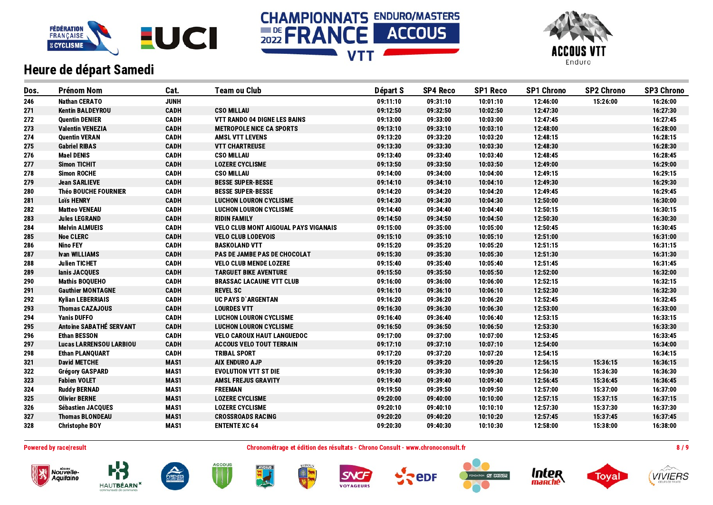





| Dos. | <b>Prénom Nom</b>              | Cat.        | <b>Team ou Club</b>                         | Départ S | <b>SP4 Reco</b> | <b>SP1 Reco</b> | <b>SP1 Chrono</b> | <b>SP2 Chrono</b> | <b>SP3 Chrono</b> |
|------|--------------------------------|-------------|---------------------------------------------|----------|-----------------|-----------------|-------------------|-------------------|-------------------|
| 246  | <b>Nathan CERATO</b>           | <b>JUNH</b> |                                             | 09:11:10 | 09:31:10        | 10:01:10        | 12:46:00          | 15:26:00          | 16:26:00          |
| 271  | <b>Kentin BALDEYROU</b>        | <b>CADH</b> | <b>CSO MILLAU</b>                           | 09:12:50 | 09:32:50        | 10:02:50        | 12:47:30          |                   | 16:27:30          |
| 272  | <b>Quentin DENIER</b>          | <b>CADH</b> | <b>VTT RANDO 04 DIGNE LES BAINS</b>         | 09:13:00 | 09:33:00        | 10:03:00        | 12:47:45          |                   | 16:27:45          |
| 273  | <b>Valentin VENEZIA</b>        | <b>CADH</b> | <b>METROPOLE NICE CA SPORTS</b>             | 09:13:10 | 09:33:10        | 10:03:10        | 12:48:00          |                   | 16:28:00          |
| 274  | <b>Quentin VERAN</b>           | <b>CADH</b> | <b>AMSL VTT LEVENS</b>                      | 09:13:20 | 09:33:20        | 10:03:20        | 12:48:15          |                   | 16:28:15          |
| 275  | <b>Gabriel RIBAS</b>           | <b>CADH</b> | <b>VTT CHARTREUSE</b>                       | 09:13:30 | 09:33:30        | 10:03:30        | 12:48:30          |                   | 16:28:30          |
| 276  | <b>Mael DENIS</b>              | <b>CADH</b> | <b>CSO MILLAU</b>                           | 09:13:40 | 09:33:40        | 10:03:40        | 12:48:45          |                   | 16:28:45          |
| 277  | <b>Simon TICHIT</b>            | <b>CADH</b> | <b>LOZERE CYCLISME</b>                      | 09:13:50 | 09:33:50        | 10:03:50        | 12:49:00          |                   | 16:29:00          |
| 278  | <b>Simon ROCHE</b>             | <b>CADH</b> | <b>CSO MILLAU</b>                           | 09:14:00 | 09:34:00        | 10:04:00        | 12:49:15          |                   | 16:29:15          |
| 279  | <b>Jean SARLIEVE</b>           | <b>CADH</b> | <b>BESSE SUPER-BESSE</b>                    | 09:14:10 | 09:34:10        | 10:04:10        | 12:49:30          |                   | 16:29:30          |
| 280  | <b>Théo BOUCHE FOURNIER</b>    | <b>CADH</b> | <b>BESSE SUPER-BESSE</b>                    | 09:14:20 | 09:34:20        | 10:04:20        | 12:49:45          |                   | 16:29:45          |
| 281  | <b>Loïs HENRY</b>              | <b>CADH</b> | <b>LUCHON LOURON CYCLISME</b>               | 09:14:30 | 09:34:30        | 10:04:30        | 12:50:00          |                   | 16:30:00          |
| 282  | <b>Matteo VENEAU</b>           | <b>CADH</b> | <b>LUCHON LOURON CYCLISME</b>               | 09:14:40 | 09:34:40        | 10:04:40        | 12:50:15          |                   | 16:30:15          |
| 283  | <b>Jules LEGRAND</b>           | <b>CADH</b> | <b>RIDIN FAMILY</b>                         | 09:14:50 | 09:34:50        | 10:04:50        | 12:50:30          |                   | 16:30:30          |
| 284  | <b>Melvin ALMUEIS</b>          | <b>CADH</b> | <b>VELO CLUB MONT AIGOUAL PAYS VIGANAIS</b> | 09:15:00 | 09:35:00        | 10:05:00        | 12:50:45          |                   | 16:30:45          |
| 285  | <b>Noe CLERC</b>               | <b>CADH</b> | <b>VELO CLUB LODEVOIS</b>                   | 09:15:10 | 09:35:10        | 10:05:10        | 12:51:00          |                   | 16:31:00          |
| 286  | <b>Nino FEY</b>                | <b>CADH</b> | <b>BASKOLAND VTT</b>                        | 09:15:20 | 09:35:20        | 10:05:20        | 12:51:15          |                   | 16:31:15          |
| 287  | <b>Ivan WILLIAMS</b>           | <b>CADH</b> | <b>PAS DE JAMBE PAS DE CHOCOLAT</b>         | 09:15:30 | 09:35:30        | 10:05:30        | 12:51:30          |                   | 16:31:30          |
| 288  | <b>Julien TICHET</b>           | <b>CADH</b> | <b>VELO CLUB MENDE LOZERE</b>               | 09:15:40 | 09:35:40        | 10:05:40        | 12:51:45          |                   | 16:31:45          |
| 289  | lanis JACQUES                  | <b>CADH</b> | <b>TARGUET BIKE AVENTURE</b>                | 09:15:50 | 09:35:50        | 10:05:50        | 12:52:00          |                   | 16:32:00          |
| 290  | <b>Mathis BOQUEHO</b>          | <b>CADH</b> | <b>BRASSAC LACAUNE VTT CLUB</b>             | 09:16:00 | 09:36:00        | 10:06:00        | 12:52:15          |                   | 16:32:15          |
| 291  | <b>Gauthier MONTAGNE</b>       | <b>CADH</b> | <b>REVEL SC</b>                             | 09:16:10 | 09:36:10        | 10:06:10        | 12:52:30          |                   | 16:32:30          |
| 292  | <b>Kylian LEBERRIAIS</b>       | <b>CADH</b> | <b>UC PAYS D'ARGENTAN</b>                   | 09:16:20 | 09:36:20        | 10:06:20        | 12:52:45          |                   | 16:32:45          |
| 293  | <b>Thomas CAZAJOUS</b>         | <b>CADH</b> | <b>LOURDES VTT</b>                          | 09:16:30 | 09:36:30        | 10:06:30        | 12:53:00          |                   | 16:33:00          |
| 294  | <b>Yanis DUFFO</b>             | <b>CADH</b> | <b>LUCHON LOURON CYCLISME</b>               | 09:16:40 | 09:36:40        | 10:06:40        | 12:53:15          |                   | 16:33:15          |
| 295  | <b>Antoine SABATHÉ SERVANT</b> | <b>CADH</b> | <b>LUCHON LOURON CYCLISME</b>               | 09:16:50 | 09:36:50        | 10:06:50        | 12:53:30          |                   | 16:33:30          |
| 296  | <b>Ethan BESSON</b>            | <b>CADH</b> | <b>VELO CAROUX HAUT LANGUEDOC</b>           | 09:17:00 | 09:37:00        | 10:07:00        | 12:53:45          |                   | 16:33:45          |
| 297  | <b>Lucas LARRENSOU LARBIOU</b> | <b>CADH</b> | <b>ACCOUS VELO TOUT TERRAIN</b>             | 09:17:10 | 09:37:10        | 10:07:10        | 12:54:00          |                   | 16:34:00          |
| 298  | <b>Ethan PLANQUART</b>         | <b>CADH</b> | <b>TRIBAL SPORT</b>                         | 09:17:20 | 09:37:20        | 10:07:20        | 12:54:15          |                   | 16:34:15          |
| 321  | <b>David METCHE</b>            | MAS1        | <b>AIX ENDURO AJP</b>                       | 09:19:20 | 09:39:20        | 10:09:20        | 12:56:15          | 15:36:15          | 16:36:15          |
| 322  | <b>Grégory GASPARD</b>         | MAS1        | <b>EVOLUTION VTT ST DIE</b>                 | 09:19:30 | 09:39:30        | 10:09:30        | 12:56:30          | 15:36:30          | 16:36:30          |
| 323  | <b>Fabien VOLET</b>            | MAS1        | <b>AMSL FREJUS GRAVITY</b>                  | 09:19:40 | 09:39:40        | 10:09:40        | 12:56:45          | 15:36:45          | 16:36:45          |
| 324  | <b>Ruddy BERNAD</b>            | MAS1        | <b>FREEMAN</b>                              | 09:19:50 | 09:39:50        | 10:09:50        | 12:57:00          | 15:37:00          | 16:37:00          |
| 325  | <b>Olivier BERNE</b>           | MAS1        | <b>LOZERE CYCLISME</b>                      | 09:20:00 | 09:40:00        | 10:10:00        | 12:57:15          | 15:37:15          | 16:37:15          |
| 326  | <b>Sébastien JACQUES</b>       | MAS1        | <b>LOZERE CYCLISME</b>                      | 09:20:10 | 09:40:10        | 10:10:10        | 12:57:30          | 15:37:30          | 16:37:30          |
| 327  | <b>Thomas BLONDEAU</b>         | MAS1        | <b>CROSSROADS RACING</b>                    | 09:20:20 | 09:40:20        | 10:10:20        | 12:57:45          | 15:37:45          | 16:37:45          |
| 328  | <b>Christophe BOY</b>          | MAS1        | <b>ENTENTE XC 64</b>                        | 09:20:30 | 09:40:30        | 10:10:30        | 12:58:00          | 15:38:00          | 16:38:00          |

Nouvelle-<br>Aquitaine

**HAUTBÉARN** 

Powered by race|result entertainment and the Chronométrage et édition des résultats - Chrono Consult - www.chronoconsult.fr and the result of the Sultan Sultan and the Sultan Sultan Sultan and the Sultan Sultan Sultan Sult



**ACCOUS** 

PYRENEE

**AYDIUS** 





**eDF**